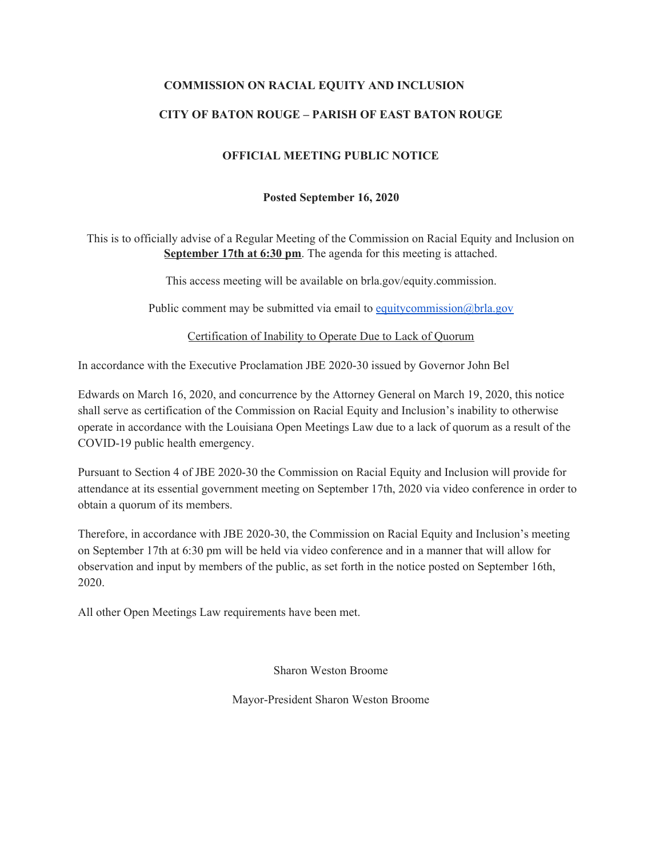#### **COMMISSION ON RACIAL EQUITY AND INCLUSION**

### **CITY OF BATON ROUGE – PARISH OF EAST BATON ROUGE**

### **OFFICIAL MEETING PUBLIC NOTICE**

#### **Posted September 16, 2020**

This is to officially advise of a Regular Meeting of the Commission on Racial Equity and Inclusion on **September 17th at 6:30 pm**. The agenda for this meeting is attached.

This access meeting will be available on brla.gov/equity.commission.

Public comment may be submitted via email to [equitycommission@brla.gov](mailto:equitycommission@brla.gov)

Certification of Inability to Operate Due to Lack of Quorum

In accordance with the Executive Proclamation JBE 2020-30 issued by Governor John Bel

Edwards on March 16, 2020, and concurrence by the Attorney General on March 19, 2020, this notice shall serve as certification of the Commission on Racial Equity and Inclusion's inability to otherwise operate in accordance with the Louisiana Open Meetings Law due to a lack of quorum as a result of the COVID-19 public health emergency.

Pursuant to Section 4 of JBE 2020-30 the Commission on Racial Equity and Inclusion will provide for attendance at its essential government meeting on September 17th, 2020 via video conference in order to obtain a quorum of its members.

Therefore, in accordance with JBE 2020-30, the Commission on Racial Equity and Inclusion's meeting on September 17th at 6:30 pm will be held via video conference and in a manner that will allow for observation and input by members of the public, as set forth in the notice posted on September 16th, 2020.

All other Open Meetings Law requirements have been met.

Sharon Weston Broome

Mayor-President Sharon Weston Broome